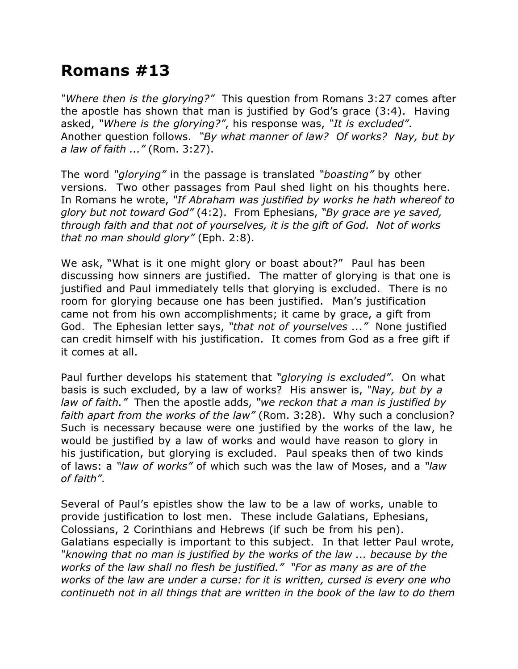## **Romans #13**

*"Where then is the glorying?"* This question from Romans 3:27 comes after the apostle has shown that man is justified by God's grace (3:4). Having asked, *"Where is the glorying?"*, his response was, *"It is excluded"*. Another question follows. *"By what manner of law? Of works? Nay, but by a law of faith ..."* (Rom. 3:27).

The word *"glorying"* in the passage is translated *"boasting"* by other versions. Two other passages from Paul shed light on his thoughts here. In Romans he wrote, *"If Abraham was justified by works he hath whereof to glory but not toward God"* (4:2). From Ephesians, *"By grace are ye saved, through faith and that not of yourselves, it is the gift of God. Not of works that no man should glory"* (Eph. 2:8).

We ask, "What is it one might glory or boast about?" Paul has been discussing how sinners are justified. The matter of glorying is that one is justified and Paul immediately tells that glorying is excluded. There is no room for glorying because one has been justified. Man's justification came not from his own accomplishments; it came by grace, a gift from God. The Ephesian letter says, *"that not of yourselves ..."* None justified can credit himself with his justification. It comes from God as a free gift if it comes at all.

Paul further develops his statement that *"glorying is excluded"*. On what basis is such excluded, by a law of works? His answer is, *"Nay, but by a law of faith."* Then the apostle adds, *"we reckon that a man is justified by faith apart from the works of the law"* (Rom. 3:28). Why such a conclusion? Such is necessary because were one justified by the works of the law, he would be justified by a law of works and would have reason to glory in his justification, but glorying is excluded. Paul speaks then of two kinds of laws: a *"law of works"* of which such was the law of Moses, and a *"law of faith"*.

Several of Paul's epistles show the law to be a law of works, unable to provide justification to lost men. These include Galatians, Ephesians, Colossians, 2 Corinthians and Hebrews (if such be from his pen). Galatians especially is important to this subject. In that letter Paul wrote, *"knowing that no man is justified by the works of the law ... because by the works of the law shall no flesh be justified." "For as many as are of the works of the law are under a curse: for it is written, cursed is every one who continueth not in all things that are written in the book of the law to do them*